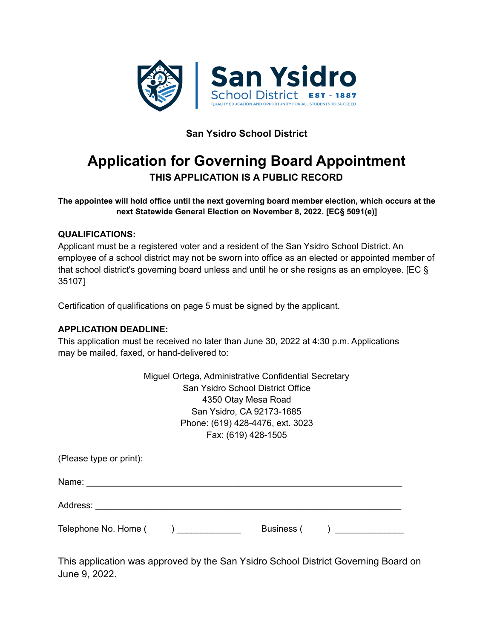

# **San Ysidro School District**

# **Application for Governing Board Appointment THIS APPLICATION IS A PUBLIC RECORD**

**The appointee will hold office until the next governing board member election, which occurs at the next Statewide General Election on November 8, 2022. [EC§ 5091(e)]**

#### **QUALIFICATIONS:**

Applicant must be a registered voter and a resident of the San Ysidro School District. An employee of a school district may not be sworn into office as an elected or appointed member of that school district's governing board unless and until he or she resigns as an employee. [EC § 35107]

Certification of qualifications on page 5 must be signed by the applicant.

#### **APPLICATION DEADLINE:**

This application must be received no later than June 30, 2022 at 4:30 p.m. Applications may be mailed, faxed, or hand-delivered to:

|                         | Miguel Ortega, Administrative Confidential Secretary |
|-------------------------|------------------------------------------------------|
|                         | San Ysidro School District Office                    |
|                         | 4350 Otay Mesa Road                                  |
|                         | San Ysidro, CA 92173-1685                            |
|                         | Phone: (619) 428-4476, ext. 3023                     |
|                         | Fax: (619) 428-1505                                  |
| (Please type or print): |                                                      |
| Name:                   |                                                      |

Address: \_\_\_\_\_\_\_\_\_\_\_\_\_\_\_\_\_\_\_\_\_\_\_\_\_\_\_\_\_\_\_\_\_\_\_\_\_\_\_\_\_\_\_\_\_\_\_\_\_\_\_\_\_\_\_\_\_\_\_\_\_\_

Telephone No. Home ( ) and a positive Business ( ) and  $\overline{a}$  Business ( ) and  $\overline{b}$ 

This application was approved by the San Ysidro School District Governing Board on June 9, 2022.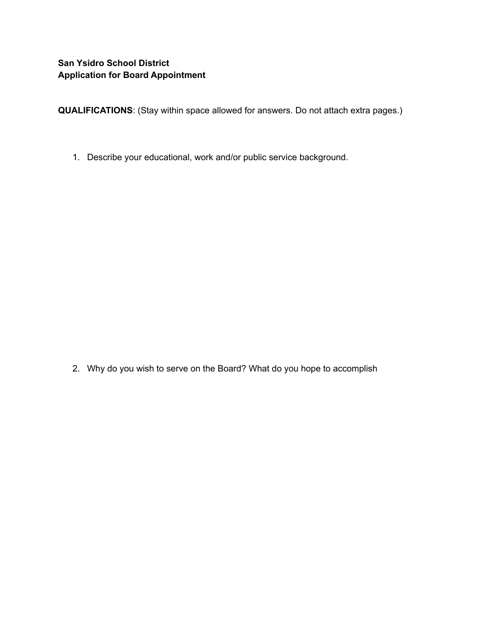**QUALIFICATIONS**: (Stay within space allowed for answers. Do not attach extra pages.)

1. Describe your educational, work and/or public service background.

2. Why do you wish to serve on the Board? What do you hope to accomplish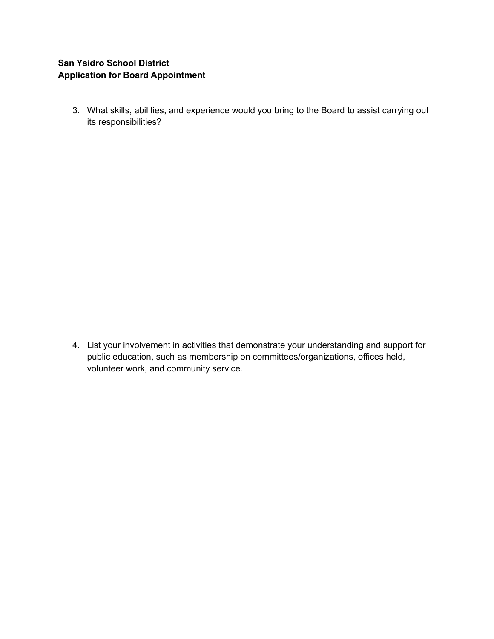## **San Ysidro School District Application for Board Appointment**

3. What skills, abilities, and experience would you bring to the Board to assist carrying out its responsibilities?

4. List your involvement in activities that demonstrate your understanding and support for public education, such as membership on committees/organizations, offices held, volunteer work, and community service.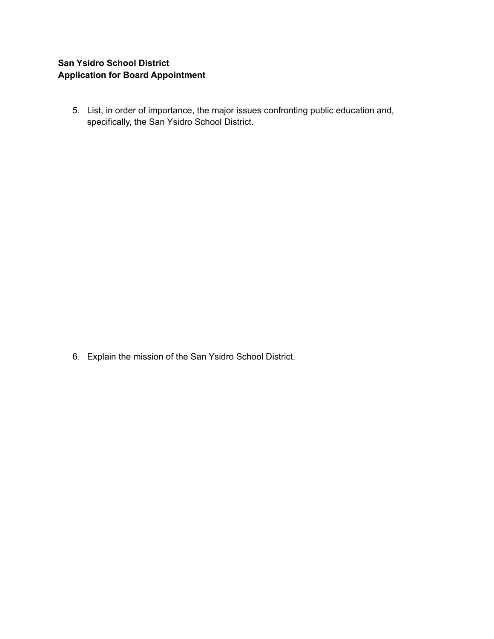#### **San Ysidro School District Application for Board Appointment**

5. List, in order of importance, the major issues confronting public education and, specifically, the San Ysidro School District.

6. Explain the mission of the San Ysidro School District.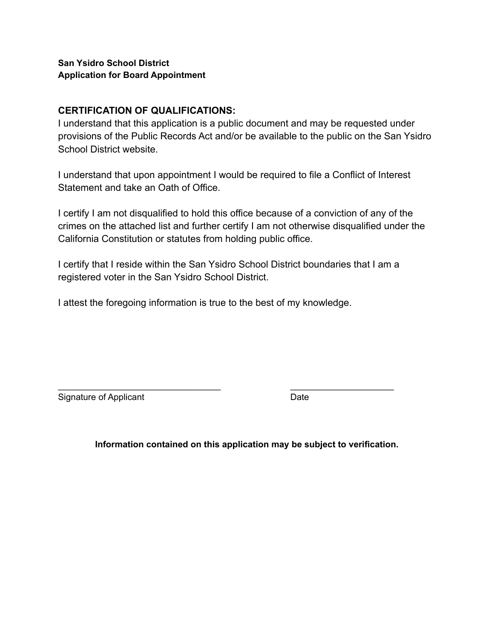#### **San Ysidro School District Application for Board Appointment**

## **CERTIFICATION OF QUALIFICATIONS:**

I understand that this application is a public document and may be requested under provisions of the Public Records Act and/or be available to the public on the San Ysidro School District website.

I understand that upon appointment I would be required to file a Conflict of Interest Statement and take an Oath of Office.

I certify I am not disqualified to hold this office because of a conviction of any of the crimes on the attached list and further certify I am not otherwise disqualified under the California Constitution or statutes from holding public office.

I certify that I reside within the San Ysidro School District boundaries that I am a registered voter in the San Ysidro School District.

\_\_\_\_\_\_\_\_\_\_\_\_\_\_\_\_\_\_\_\_\_\_\_\_\_\_\_\_\_\_\_\_\_ \_\_\_\_\_\_\_\_\_\_\_\_\_\_\_\_\_\_\_\_\_

I attest the foregoing information is true to the best of my knowledge.

Signature of Applicant Date **Date** 

**Information contained on this application may be subject to verification.**